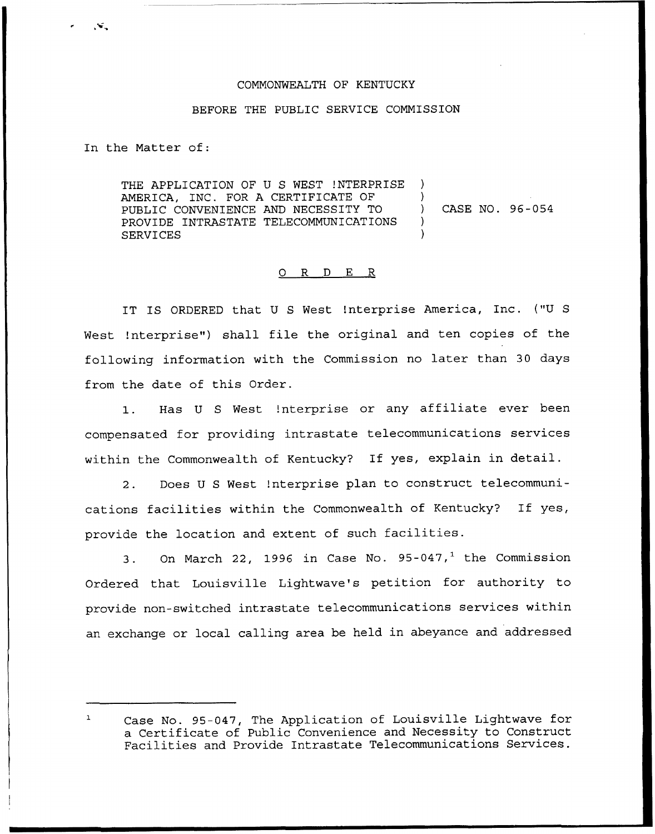## COMMONWEALTH OF KENTUCKY

## BEFORE THE PUBLIC SERVICE COMMISSION

In the Matter of:

THE APPLICATION OF U S WEST !NTERPRISE ) AMERICA, INC. FOR A CERTIFICATE OF PUBLIC CONVENIENCE AND NECESSITY TO  $\qquad$ PROVIDE INTRASTATE TELECOMMUNICATIONS ) **SERVICES** CASE NO. 96-054

## 0 R <sup>D</sup> E R

IT IS ORDERED that <sup>U</sup> <sup>S</sup> West !nterprise America, Inc. ("U <sup>S</sup> West !nterprise") shall file the original and ten copies of the following information with the Commission no later than 30 days from the date of this Order.

1. Has <sup>U</sup> <sup>S</sup> West !nterprise or any affiliate ever been compensated for providing intrastate telecommunications services within the Commonwealth of Kentucky? If yes, explain in detail.

2. Does <sup>U</sup> <sup>S</sup> West !nterprise plan to construct telecommunications facilities within the Commonwealth of Kentucky? If yes, provide the location and extent of such facilities.

3. On March 22, 1996 in Case No.  $95-047$ ,<sup>1</sup> the Commission Ordered that Louisville Lightwave's petition for authority to provide non-switched intrastate telecommunications services within an exchange or local calling area be held in abeyance and addressed

 $\mathbf{1}$ Case No. 95-047, The Application of Louisville Lightwave for a Certificate of Public Convenience and Necessity to Construct Facilities and Provide Intrastate Telecommunications Services.